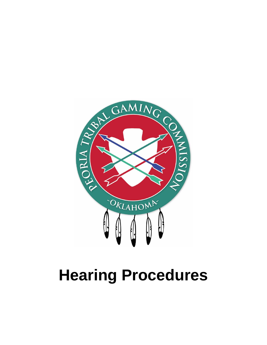

## **Hearing Procedures**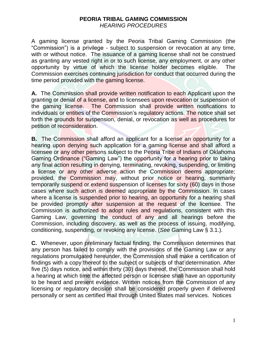## **PEORIA TRIBAL GAMING COMMISSION** *HEARING PROCEDURES*

A gaming license granted by the Peoria Tribal Gaming Commission (the "Commission") is a privilege - subject to suspension or revocation at any time, with or without notice. The issuance of a gaming license shall not be construed as granting any vested right in or to such license, any employment, or any other opportunity by virtue of which the license holder becomes eligible. The Commission exercises continuing jurisdiction for conduct that occurred during the time period provided with the gaming license.

**A.** The Commission shall provide written notification to each Applicant upon the granting or denial of a license, and to licensees upon revocation or suspension of the gaming license. The Commission shall provide written notifications to individuals or entities of the Commission's regulatory actions. The notice shall set forth the grounds for suspension, denial, or revocation as well as procedures for petition of reconsideration.

**B.** The Commission shall afford an applicant for a license an opportunity for a hearing upon denying such application for a gaming license and shall afford a licensee or any other persons subject to the Peoria Tribe of Indians of Oklahoma Gaming Ordinance ("Gaming Law") the opportunity for a hearing prior to taking any final action resulting in denying, terminating, revoking, suspending, or limiting a license or any other adverse action the Commission deems appropriate; provided, the Commission may, without prior notice or hearing, summarily temporarily suspend or extend suspension of licenses for sixty (60) days in those cases where such action is deemed appropriate by the Commission. In cases where a license is suspended prior to hearing, an opportunity for a hearing shall be provided promptly after suspension at the request of the licensee. The Commission is authorized to adopt rules and regulations, consistent with this Gaming Law, governing the conduct of any and all hearings before the Commission, including discovery, as well as the process of issuing, modifying, conditioning, suspending, or revoking any license. (*See* Gaming Law § 3.1.).

**C.** Whenever, upon preliminary factual finding, the Commission determines that any person has failed to comply with the provisions of the Gaming Law or any regulations promulgated hereunder, the Commission shall make a certification of findings with a copy thereof to the subject or subjects of that determination. After five (5) days notice, and within thirty (30) days thereof, the Commission shall hold a hearing at which time the affected person or licensee shall have an opportunity to be heard and present evidence. Written notices from the Commission of any licensing or regulatory decision shall be considered properly given if delivered personally or sent as certified mail through United States mail services. Notices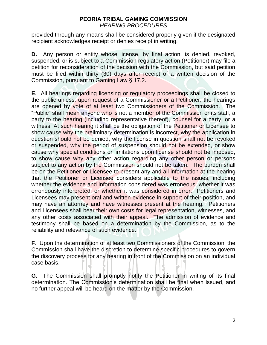## **PEORIA TRIBAL GAMING COMMISSION** *HEARING PROCEDURES*

provided through any means shall be considered properly given if the designated recipient acknowledges receipt or denies receipt in writing.

**D.** Any person or entity whose license, by final action, is denied, revoked, suspended, or is subject to a Commission regulatory action (Petitioner) may file a petition for reconsideration of the decision with the Commission, but said petition must be filed within thirty (30) days after receipt of a written decision of the Commission, pursuant to Gaming Law § 17.2.

**E.** All hearings regarding licensing or regulatory proceedings shall be closed to the public unless, upon request of a Commissioner or a Petitioner, the hearings are opened by vote of at least two Commissioners of the Commission. The "Public" shall mean anyone who is not a member of the Commission or its staff, a party to the hearing (including representative thereof), counsel for a party, or a witness. At such hearing it shall be the obligation of the Petitioner or Licensee to show cause why the preliminary determination is incorrect, why the application in question should not be denied, why the license in question shall not be revoked or suspended, why the period of suspension should not be extended, or show cause why special conditions or limitations upon license should not be imposed, to show cause why any other action regarding any other person or persons subject to any action by the Commission should not be taken. The burden shall be on the Petitioner or Licensee to present any and all information at the hearing that the Petitioner or Licensee considers applicable to the issues, including whether the evidence and information considered was erroneous, whether it was erroneously interpreted, or whether it was considered in error. Petitioners and Licensees may present oral and written evidence in support of their position, and may have an attorney and have witnesses present at the hearing. Petitioners and Licensees shall bear their own costs for legal representation, witnesses, and any other costs associated with their appeal. The admission of evidence and testimony shall be based on a determination by the Commission, as to the reliability and relevance of such evidence.

**F**. Upon the determination of at least two Commissioners of the Commission, the Commission shall have the discretion to determine specific procedures to govern the discovery process for any hearing in front of the Commission on an individual case basis.

**G.** The Commission shall promptly notify the Petitioner in writing of its final determination. The Commission's determination shall be final when issued, and no further appeal will be heard on the matter by the Commission.